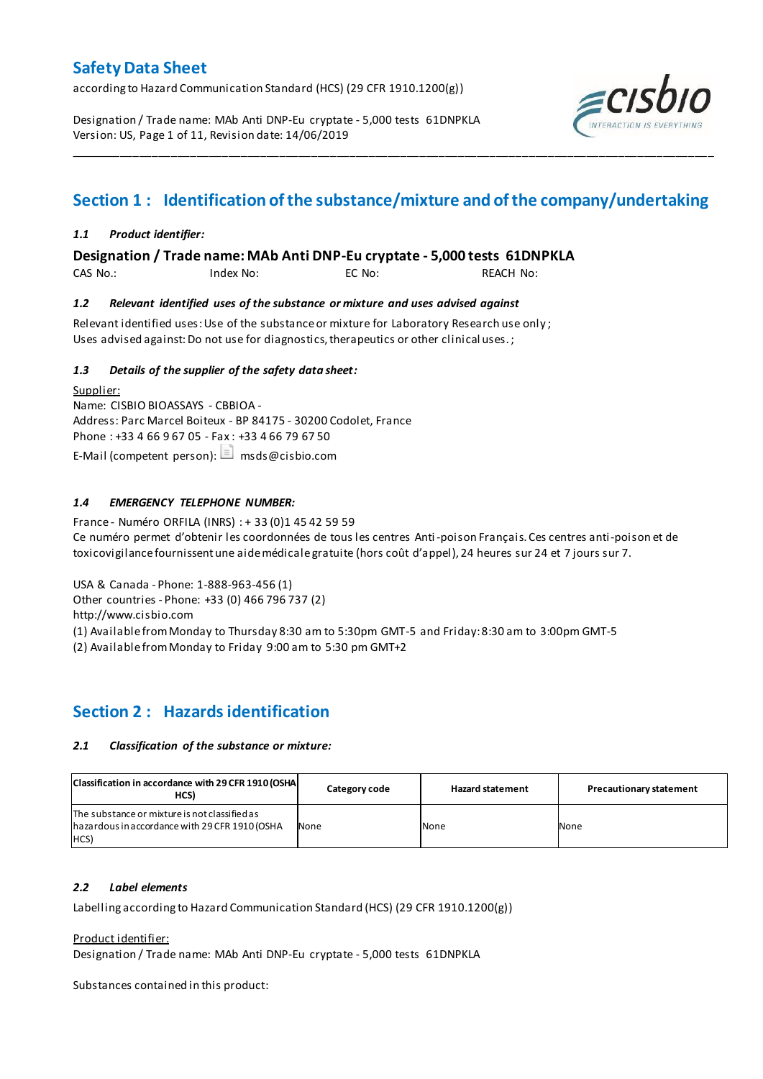according to Hazard Communication Standard (HCS) (29 CFR 1910.1200(g))

Designation / Trade name: MAb Anti DNP-Eu cryptate - 5,000 tests 61DNPKLA Version: US, Page 1 of 11, Revision date: 14/06/2019



# **Section 1 : Identification of the substance/mixture and of the company/undertaking**

\_\_\_\_\_\_\_\_\_\_\_\_\_\_\_\_\_\_\_\_\_\_\_\_\_\_\_\_\_\_\_\_\_\_\_\_\_\_\_\_\_\_\_\_\_\_\_\_\_\_\_\_\_\_\_\_\_\_\_\_\_\_\_\_\_\_\_\_\_\_\_\_\_\_\_\_\_\_\_\_\_\_\_\_\_\_\_\_\_\_\_\_\_\_\_\_\_\_\_\_\_

## *1.1 Product identifier:*

**Designation / Trade name: MAb Anti DNP-Eu cryptate - 5,000 tests 61DNPKLA** 

CAS No.: Index No: EC No: REACH No:

### *1.2 Relevant identified uses of the substance or mixture and uses advised against*

Relevant identified uses: Use of the substance or mixture for Laboratory Research use only ; Uses advised against: Do not use for diagnostics, therapeutics or other clinical uses.;

## *1.3 Details of the supplier of the safety data sheet:*

Supplier: Name: CISBIO BIOASSAYS - CBBIOA - Address: Parc Marcel Boiteux - BP 84175 - 30200 Codolet, France Phone : +33 4 66 9 67 05 - Fax : +33 4 66 79 67 50 E-Mail (competent person):  $\boxed{\equiv}$  msds@cisbio.com

## *1.4 EMERGENCY TELEPHONE NUMBER:*

France - Numéro ORFILA (INRS) : + 33 (0)1 45 42 59 59 Ce numéro permet d'obtenir les coordonnées de tous les centres Anti-poison Français. Ces centres anti-poison et de toxicovigilance fournissent une aide médicale gratuite (hors coût d'appel), 24 heures sur 24 et 7 jours sur 7.

USA & Canada - Phone: 1-888-963-456 (1) Other countries - Phone: +33 (0) 466 796 737 (2)

http://www.cisbio.com

(1) Available from Monday to Thursday 8:30 am to 5:30pm GMT-5 and Friday: 8:30 am to 3:00pm GMT-5

(2) Available from Monday to Friday 9:00 am to 5:30 pm GMT+2

## **Section 2 : Hazards identification**

### *2.1 Classification of the substance or mixture:*

| Classification in accordance with 29 CFR 1910 (OSHA<br>HCS)                                             | Category code | <b>Hazard statement</b> | <b>Precautionary statement</b> |
|---------------------------------------------------------------------------------------------------------|---------------|-------------------------|--------------------------------|
| The substance or mixture is not classified as<br>hazardous in accordance with 29 CFR 1910 (OSHA<br>HCS) | None          | None                    | None                           |

### *2.2 Label elements*

Labelling according to Hazard Communication Standard (HCS) (29 CFR 1910.1200(g))

Product identifier:

Designation / Trade name: MAb Anti DNP-Eu cryptate - 5,000 tests 61DNPKLA

Substances contained in this product: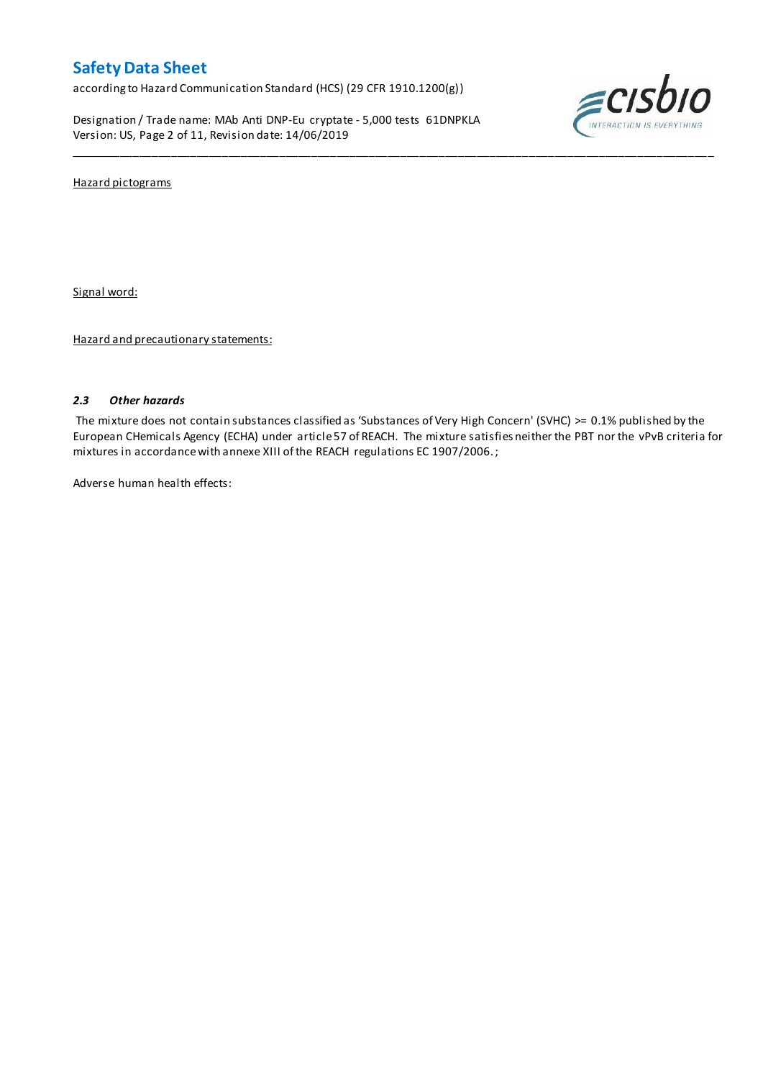according to Hazard Communication Standard (HCS) (29 CFR 1910.1200(g))

Designation / Trade name: MAb Anti DNP-Eu cryptate - 5,000 tests 61DNPKLA Version: US, Page 2 of 11, Revision date: 14/06/2019



Hazard pictograms

Signal word:

Hazard and precautionary statements:

### *2.3 Other hazards*

The mixture does not contain substances classified as 'Substances of Very High Concern' (SVHC) >= 0.1% published by the European CHemicals Agency (ECHA) under article 57 of REACH. The mixture satisfies neither the PBT nor the vPvB criteria for mixtures in accordance with annexe XIII of the REACH regulations EC 1907/2006. ;

\_\_\_\_\_\_\_\_\_\_\_\_\_\_\_\_\_\_\_\_\_\_\_\_\_\_\_\_\_\_\_\_\_\_\_\_\_\_\_\_\_\_\_\_\_\_\_\_\_\_\_\_\_\_\_\_\_\_\_\_\_\_\_\_\_\_\_\_\_\_\_\_\_\_\_\_\_\_\_\_\_\_\_\_\_\_\_\_\_\_\_\_\_\_\_\_\_\_\_\_\_

Adverse human health effects: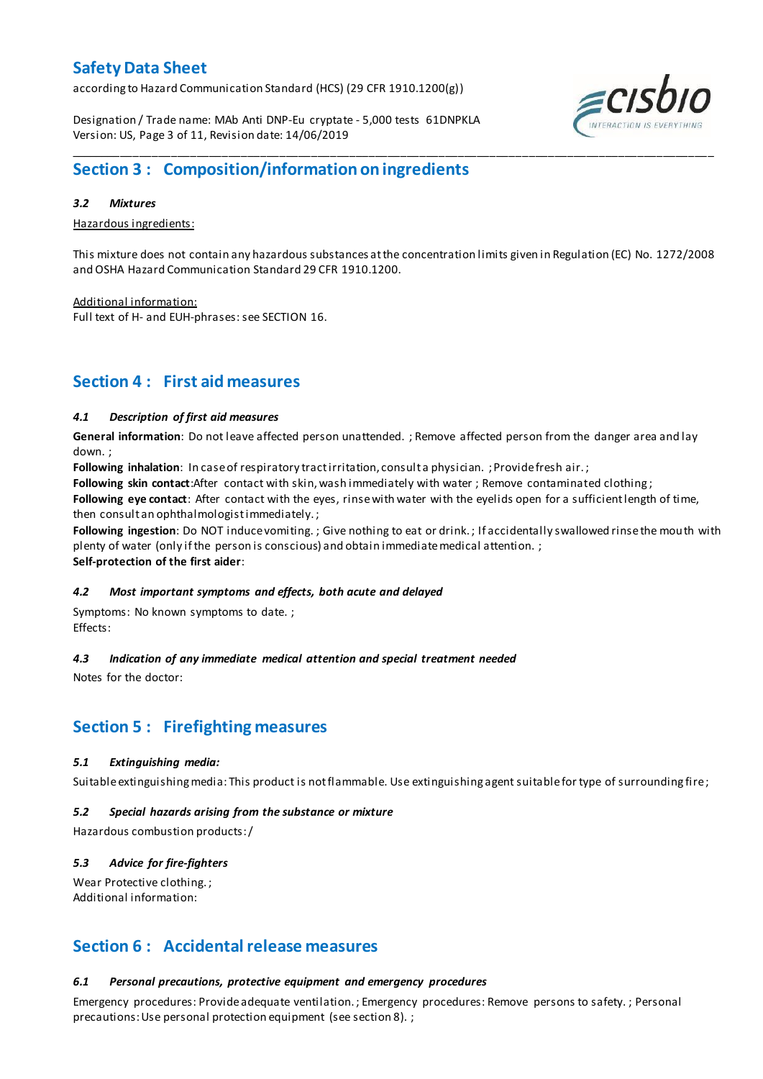according to Hazard Communication Standard (HCS) (29 CFR 1910.1200(g))

Designation / Trade name: MAb Anti DNP-Eu cryptate - 5,000 tests 61DNPKLA Version: US, Page 3 of 11, Revision date: 14/06/2019



## **Section 3 : Composition/information on ingredients**

### *3.2 Mixtures*

Hazardous ingredients:

This mixture does not contain any hazardous substances at the concentration limits given in Regulation (EC) No. 1272/2008 and OSHA Hazard Communication Standard 29 CFR 1910.1200.

\_\_\_\_\_\_\_\_\_\_\_\_\_\_\_\_\_\_\_\_\_\_\_\_\_\_\_\_\_\_\_\_\_\_\_\_\_\_\_\_\_\_\_\_\_\_\_\_\_\_\_\_\_\_\_\_\_\_\_\_\_\_\_\_\_\_\_\_\_\_\_\_\_\_\_\_\_\_\_\_\_\_\_\_\_\_\_\_\_\_\_\_\_\_\_\_\_\_\_\_\_

Additional information:

Full text of H- and EUH-phrases: see SECTION 16.

## **Section 4 : First aid measures**

## *4.1 Description of first aid measures*

**General information**: Do not leave affected person unattended. ; Remove affected person from the danger area and lay down. ;

**Following inhalation**: In case of respiratory tract irritation, consult a physician. ; Provide fresh air. ;

**Following skin contact**:After contact with skin, wash immediately with water ; Remove contaminated clothing ;

**Following eye contact**: After contact with the eyes, rinse with water with the eyelids open for a sufficient length of time, then consult an ophthalmologist immediately. ;

**Following ingestion**: Do NOT induce vomiting. ; Give nothing to eat or drink. ; If accidentally swallowed rinse the mouth with plenty of water (only if the person is conscious) and obtain immediate medical attention. ; **Self-protection of the first aider**:

### *4.2 Most important symptoms and effects, both acute and delayed*

Symptoms: No known symptoms to date. ; Effects:

## *4.3 Indication of any immediate medical attention and special treatment needed*

Notes for the doctor:

## **Section 5 : Firefighting measures**

## *5.1 Extinguishing media:*

Suitable extinguishing media: This product is not flammable. Use extinguishing agent suitable for type of surrounding fire ;

### *5.2 Special hazards arising from the substance or mixture*

Hazardous combustion products:/

## *5.3 Advice for fire-fighters*

Wear Protective clothing.; Additional information:

## **Section 6 : Accidental release measures**

## *6.1 Personal precautions, protective equipment and emergency procedures*

Emergency procedures: Provide adequate ventilation. ; Emergency procedures: Remove persons to safety. ; Personal precautions: Use personal protection equipment (see section 8). ;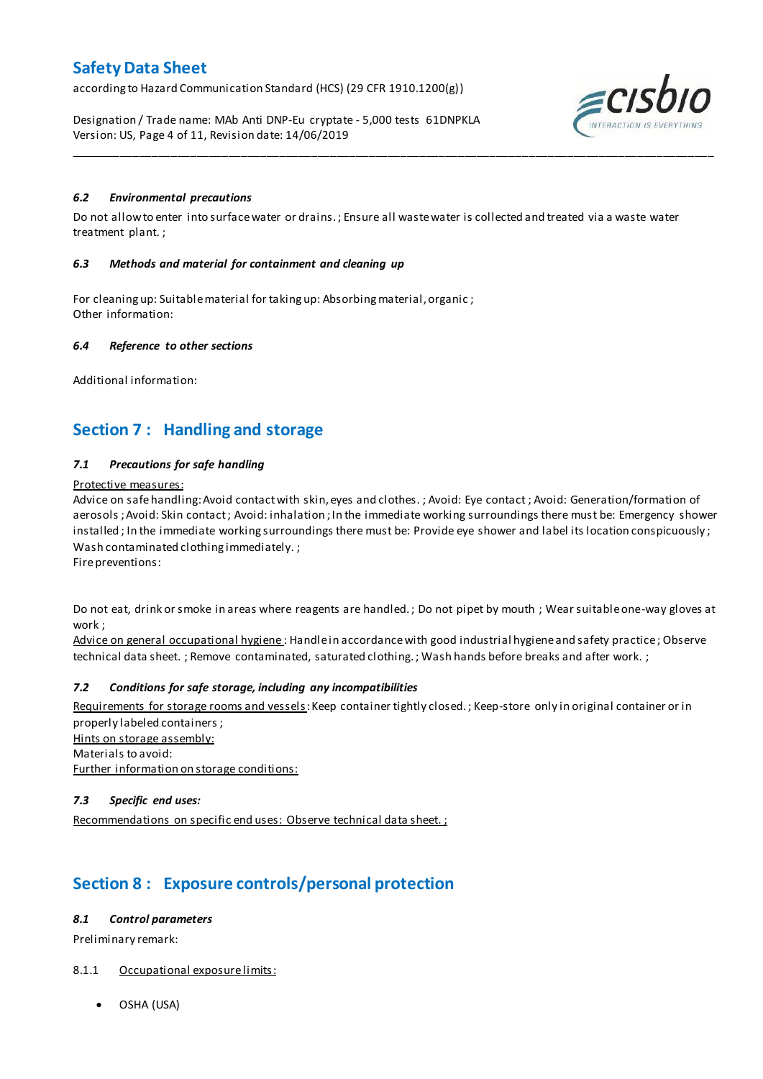according to Hazard Communication Standard (HCS) (29 CFR 1910.1200(g))

Designation / Trade name: MAb Anti DNP-Eu cryptate - 5,000 tests 61DNPKLA Version: US, Page 4 of 11, Revision date: 14/06/2019



## *6.2 Environmental precautions*

Do not allow to enter into surface water or drains. ; Ensure all waste water is collected and treated via a waste water treatment plant. ;

\_\_\_\_\_\_\_\_\_\_\_\_\_\_\_\_\_\_\_\_\_\_\_\_\_\_\_\_\_\_\_\_\_\_\_\_\_\_\_\_\_\_\_\_\_\_\_\_\_\_\_\_\_\_\_\_\_\_\_\_\_\_\_\_\_\_\_\_\_\_\_\_\_\_\_\_\_\_\_\_\_\_\_\_\_\_\_\_\_\_\_\_\_\_\_\_\_\_\_\_\_

### *6.3 Methods and material for containment and cleaning up*

For cleaning up: Suitable material for taking up: Absorbing material, organic ; Other information:

### *6.4 Reference to other sections*

Additional information:

## **Section 7 : Handling and storage**

### *7.1 Precautions for safe handling*

### Protective measures:

Advice on safe handling:Avoid contact with skin, eyes and clothes. ; Avoid: Eye contact ; Avoid: Generation/formation of aerosols ; Avoid: Skin contact ; Avoid: inhalation ; In the immediate working surroundings there must be: Emergency shower installed; In the immediate working surroundings there must be: Provide eye shower and label its location conspicuously; Wash contaminated clothing immediately. ;

Fire preventions:

Do not eat, drink or smoke in areas where reagents are handled. ; Do not pipet by mouth ; Wear suitable one-way gloves at work ;

Advice on general occupational hygiene: Handle in accordance with good industrial hygiene and safety practice; Observe technical data sheet. ; Remove contaminated, saturated clothing. ; Wash hands before breaks and after work. ;

### *7.2 Conditions for safe storage, including any incompatibilities*

Requirements for storage rooms and vessels: Keep container tightly closed.; Keep-store only in original container or in properly labeled containers ; Hints on storage assembly: Materials to avoid: Further information on storage conditions:

### *7.3 Specific end uses:*

Recommendations on specific end uses: Observe technical data sheet. ;

# **Section 8 : Exposure controls/personal protection**

### *8.1 Control parameters*

Preliminary remark:

## 8.1.1 Occupational exposure limits:

OSHA (USA)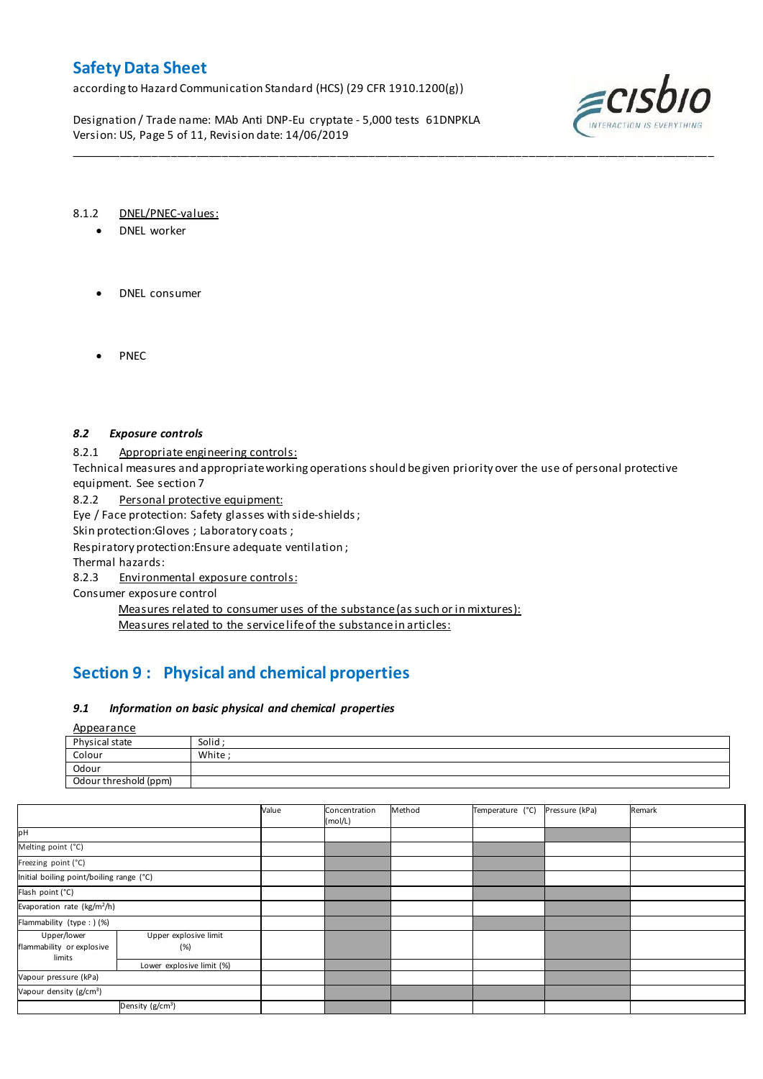according to Hazard Communication Standard (HCS) (29 CFR 1910.1200(g))

Designation / Trade name: MAb Anti DNP-Eu cryptate - 5,000 tests 61DNPKLA Version: US, Page 5 of 11, Revision date: 14/06/2019



### 8.1.2 DNEL/PNEC-values:

- DNEL worker
- DNEL consumer
- PNEC

### *8.2 Exposure controls*

8.2.1 Appropriate engineering controls:

Technical measures and appropriate working operations should be given priority over the use of personal protective equipment. See section 7

\_\_\_\_\_\_\_\_\_\_\_\_\_\_\_\_\_\_\_\_\_\_\_\_\_\_\_\_\_\_\_\_\_\_\_\_\_\_\_\_\_\_\_\_\_\_\_\_\_\_\_\_\_\_\_\_\_\_\_\_\_\_\_\_\_\_\_\_\_\_\_\_\_\_\_\_\_\_\_\_\_\_\_\_\_\_\_\_\_\_\_\_\_\_\_\_\_\_\_\_\_

8.2.2 Personal protective equipment:

Eye / Face protection: Safety glasses with side-shields ;

Skin protection:Gloves ; Laboratory coats ;

Respiratory protection:Ensure adequate ventilation ;

Thermal hazards:

8.2.3 Environmental exposure controls:

Consumer exposure control

Measures related to consumer uses of the substance (as such or in mixtures): Measures related to the service life of the substance in articles:

# **Section 9 : Physical and chemical properties**

### *9.1 Information on basic physical and chemical properties*

Appearance

| Physical state        | Solid |
|-----------------------|-------|
| Colour                | White |
| Odour                 |       |
| Odour threshold (ppm) |       |

|                                                    |                              | Value | Concentration<br>(mol/L) | Method | Temperature (°C) | Pressure (kPa) | Remark |
|----------------------------------------------------|------------------------------|-------|--------------------------|--------|------------------|----------------|--------|
| pН                                                 |                              |       |                          |        |                  |                |        |
| Melting point (°C)                                 |                              |       |                          |        |                  |                |        |
| Freezing point (°C)                                |                              |       |                          |        |                  |                |        |
| Initial boiling point/boiling range (°C)           |                              |       |                          |        |                  |                |        |
| Flash point (°C)                                   |                              |       |                          |        |                  |                |        |
| Evaporation rate (kg/m <sup>2</sup> /h)            |                              |       |                          |        |                  |                |        |
| Flammability (type : ) (%)                         |                              |       |                          |        |                  |                |        |
| Upper/lower<br>flammability or explosive<br>limits | Upper explosive limit<br>(%) |       |                          |        |                  |                |        |
|                                                    | Lower explosive limit (%)    |       |                          |        |                  |                |        |
| Vapour pressure (kPa)                              |                              |       |                          |        |                  |                |        |
| Vapour density (g/cm <sup>3</sup> )                |                              |       |                          |        |                  |                |        |
| Density (g/cm <sup>3</sup> )                       |                              |       |                          |        |                  |                |        |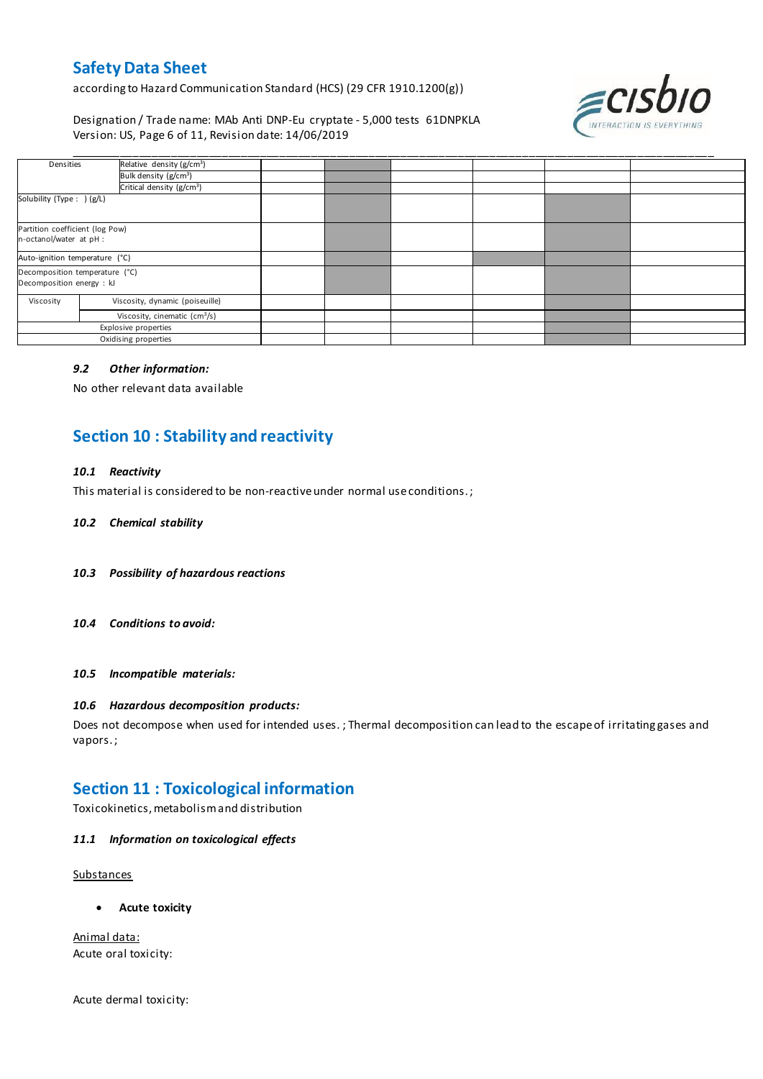according to Hazard Communication Standard (HCS) (29 CFR 1910.1200(g))

Designation / Trade name: MAb Anti DNP-Eu cryptate - 5,000 tests 61DNPKLA Version: US, Page 6 of 11, Revision date: 14/06/2019



| Densities                                                  | Relative density (g/cm <sup>3</sup> )     |  |  |  |
|------------------------------------------------------------|-------------------------------------------|--|--|--|
|                                                            | Bulk density (g/cm <sup>3</sup> )         |  |  |  |
|                                                            | Critical density (g/cm <sup>3</sup> )     |  |  |  |
| Solubility (Type: ) (g/L)                                  |                                           |  |  |  |
| Partition coefficient (log Pow)<br>n-octanol/water at pH : |                                           |  |  |  |
| Auto-ignition temperature (°C)                             |                                           |  |  |  |
| Decomposition energy : kJ                                  | Decomposition temperature (°C)            |  |  |  |
| Viscosity                                                  | Viscosity, dynamic (poiseuille)           |  |  |  |
|                                                            | Viscosity, cinematic (cm <sup>3</sup> /s) |  |  |  |
| Explosive properties                                       |                                           |  |  |  |
| Oxidising properties                                       |                                           |  |  |  |

### *9.2 Other information:*

No other relevant data available

# **Section 10 : Stability and reactivity**

### *10.1 Reactivity*

This material is considered to be non-reactive under normal use conditions. ;

### *10.2 Chemical stability*

- *10.3 Possibility of hazardous reactions*
- *10.4 Conditions to avoid:*

*10.5 Incompatible materials:*

### *10.6 Hazardous decomposition products:*

Does not decompose when used for intended uses. ; Thermal decomposition can lead to the escape of irritating gases and vapors. ;

## **Section 11 : Toxicological information**

Toxicokinetics, metabolism and distribution

### *11.1 Information on toxicological effects*

**Substances** 

**Acute toxicity**

Animal data: Acute oral toxicity:

Acute dermal toxicity: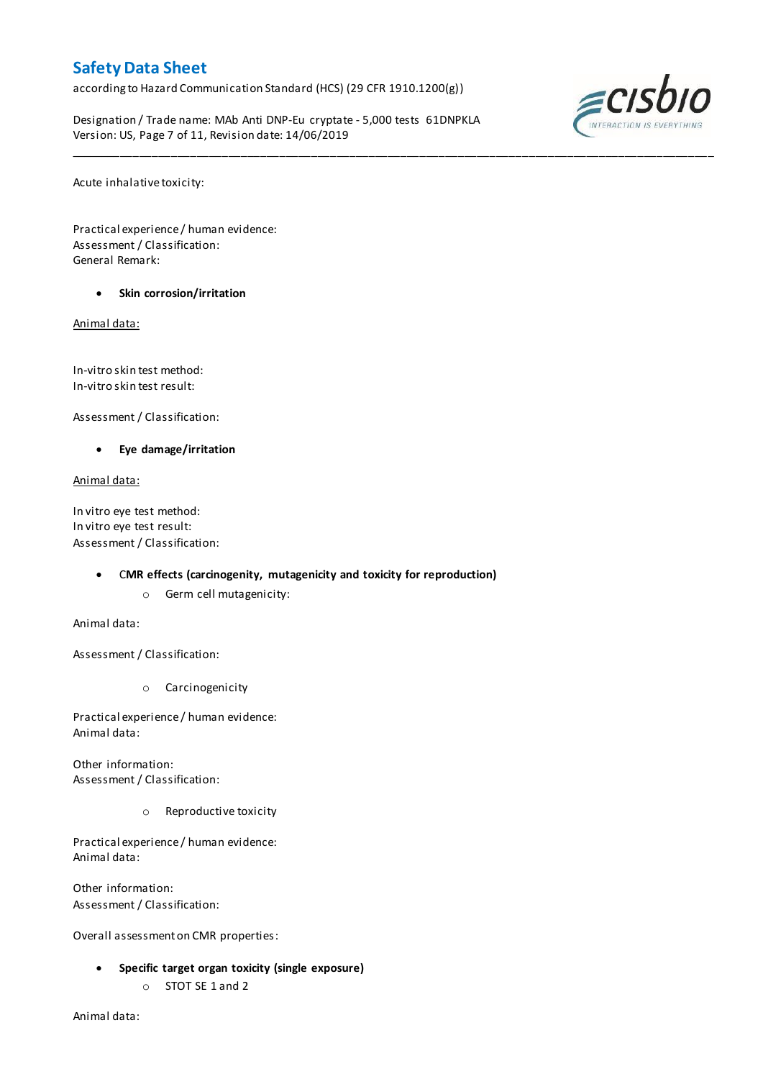according to Hazard Communication Standard (HCS) (29 CFR 1910.1200(g))

Designation / Trade name: MAb Anti DNP-Eu cryptate - 5,000 tests 61DNPKLA Version: US, Page 7 of 11, Revision date: 14/06/2019

\_\_\_\_\_\_\_\_\_\_\_\_\_\_\_\_\_\_\_\_\_\_\_\_\_\_\_\_\_\_\_\_\_\_\_\_\_\_\_\_\_\_\_\_\_\_\_\_\_\_\_\_\_\_\_\_\_\_\_\_\_\_\_\_\_\_\_\_\_\_\_\_\_\_\_\_\_\_\_\_\_\_\_\_\_\_\_\_\_\_\_\_\_\_\_\_\_\_\_\_\_



Acute inhalative toxicity:

Practical experience / human evidence: Assessment / Classification: General Remark:

**Skin corrosion/irritation**

Animal data:

In-vitro skin test method: In-vitro skin test result:

Assessment / Classification:

**Eye damage/irritation**

Animal data:

In vitro eye test method: In vitro eye test result: Assessment / Classification:

### C**MR effects (carcinogenity, mutagenicity and toxicity for reproduction)**

o Germ cell mutagenicity:

Animal data:

Assessment / Classification:

o Carcinogenicity

Practical experience / human evidence: Animal data:

Other information: Assessment / Classification:

o Reproductive toxicity

Practical experience / human evidence: Animal data:

Other information: Assessment / Classification:

Overall assessment on CMR properties:

- **Specific target organ toxicity (single exposure)**
	- o STOT SE 1 and 2

Animal data: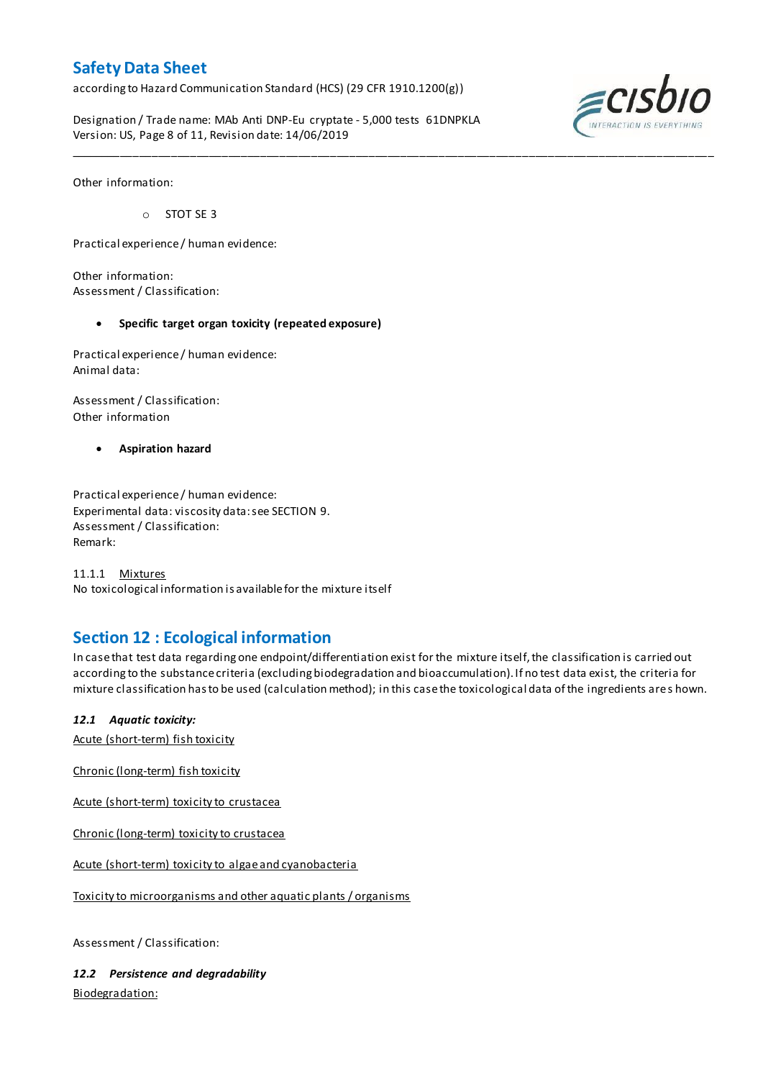according to Hazard Communication Standard (HCS) (29 CFR 1910.1200(g))

Designation / Trade name: MAb Anti DNP-Eu cryptate - 5,000 tests 61DNPKLA Version: US, Page 8 of 11, Revision date: 14/06/2019



Other information:

o STOT SE 3

Practical experience / human evidence:

Other information: Assessment / Classification:

### **Specific target organ toxicity (repeated exposure)**

Practical experience / human evidence: Animal data:

Assessment / Classification: Other information

**Aspiration hazard**

Practical experience / human evidence: Experimental data: viscosity data: see SECTION 9. Assessment / Classification: Remark:

11.1.1 Mixtures No toxicological information is available for the mixture itself

## **Section 12 : Ecological information**

In case that test data regarding one endpoint/differentiation exist for the mixture itself, the classification is carried out according to the substance criteria (excluding biodegradation and bioaccumulation). If no test data exist, the criteria for mixture classification has to be used (calculation method); in this case the toxicological data of the ingredients are s hown.

\_\_\_\_\_\_\_\_\_\_\_\_\_\_\_\_\_\_\_\_\_\_\_\_\_\_\_\_\_\_\_\_\_\_\_\_\_\_\_\_\_\_\_\_\_\_\_\_\_\_\_\_\_\_\_\_\_\_\_\_\_\_\_\_\_\_\_\_\_\_\_\_\_\_\_\_\_\_\_\_\_\_\_\_\_\_\_\_\_\_\_\_\_\_\_\_\_\_\_\_\_

### *12.1 Aquatic toxicity:*

Acute (short-term) fish toxicity

Chronic (long-term) fish toxicity

Acute (short-term) toxicity to crustacea

Chronic (long-term) toxicity to crustacea

Acute (short-term) toxicity to algae and cyanobacteria

Toxicity to microorganisms and other aquatic plants / organisms

Assessment / Classification:

*12.2 Persistence and degradability* Biodegradation: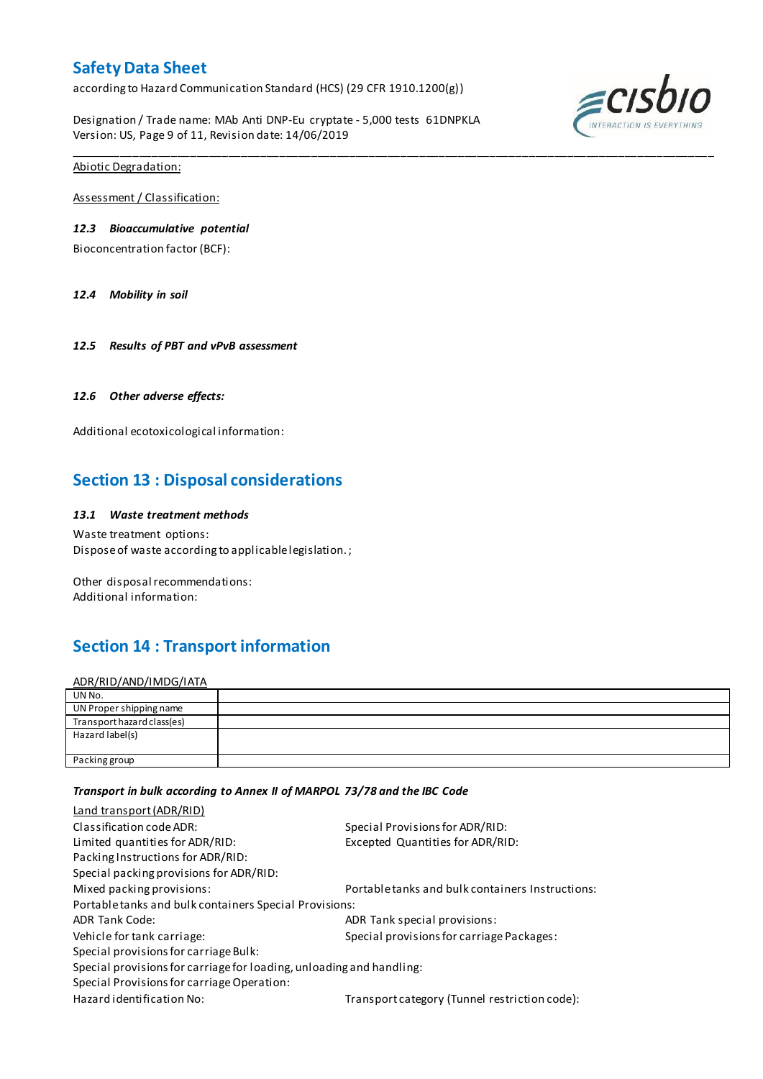according to Hazard Communication Standard (HCS) (29 CFR 1910.1200(g))

Designation / Trade name: MAb Anti DNP-Eu cryptate - 5,000 tests 61DNPKLA Version: US, Page 9 of 11, Revision date: 14/06/2019

\_\_\_\_\_\_\_\_\_\_\_\_\_\_\_\_\_\_\_\_\_\_\_\_\_\_\_\_\_\_\_\_\_\_\_\_\_\_\_\_\_\_\_\_\_\_\_\_\_\_\_\_\_\_\_\_\_\_\_\_\_\_\_\_\_\_\_\_\_\_\_\_\_\_\_\_\_\_\_\_\_\_\_\_\_\_\_\_\_\_\_\_\_\_\_\_\_\_\_\_\_



Abiotic Degradation:

Assessment / Classification:

### *12.3 Bioaccumulative potential*

Bioconcentration factor (BCF):

*12.4 Mobility in soil*

*12.5 Results of PBT and vPvB assessment*

### *12.6 Other adverse effects:*

Additional ecotoxicological information:

## **Section 13 : Disposal considerations**

### *13.1 Waste treatment methods*

Waste treatment options: Dispose of waste according to applicable legislation. ;

Other disposal recommendations: Additional information:

# **Section 14 : Transport information**

ADR/RID/AND/IMDG/IATA

| UN No.                     |  |
|----------------------------|--|
| UN Proper shipping name    |  |
| Transport hazard class(es) |  |
| Hazard label(s)            |  |
|                            |  |
| Packing group              |  |

### *Transport in bulk according to Annex II of MARPOL 73/78 and the IBC Code*

| Land transport (ADR/RID)                                             |                                                  |  |  |  |
|----------------------------------------------------------------------|--------------------------------------------------|--|--|--|
| Classification code ADR:                                             | Special Provisions for ADR/RID:                  |  |  |  |
| Limited quantities for ADR/RID:                                      | Excepted Quantities for ADR/RID:                 |  |  |  |
| Packing Instructions for ADR/RID:                                    |                                                  |  |  |  |
| Special packing provisions for ADR/RID:                              |                                                  |  |  |  |
| Mixed packing provisions:                                            | Portable tanks and bulk containers Instructions: |  |  |  |
| Portable tanks and bulk containers Special Provisions:               |                                                  |  |  |  |
| <b>ADR Tank Code:</b>                                                | ADR Tank special provisions:                     |  |  |  |
| Vehicle for tank carriage:                                           | Special provisions for carriage Packages:        |  |  |  |
| Special provisions for carriage Bulk:                                |                                                  |  |  |  |
| Special provisions for carriage for loading, unloading and handling: |                                                  |  |  |  |
| Special Provisions for carriage Operation:                           |                                                  |  |  |  |
| Hazard identification No:                                            | Transport category (Tunnel restriction code):    |  |  |  |
|                                                                      |                                                  |  |  |  |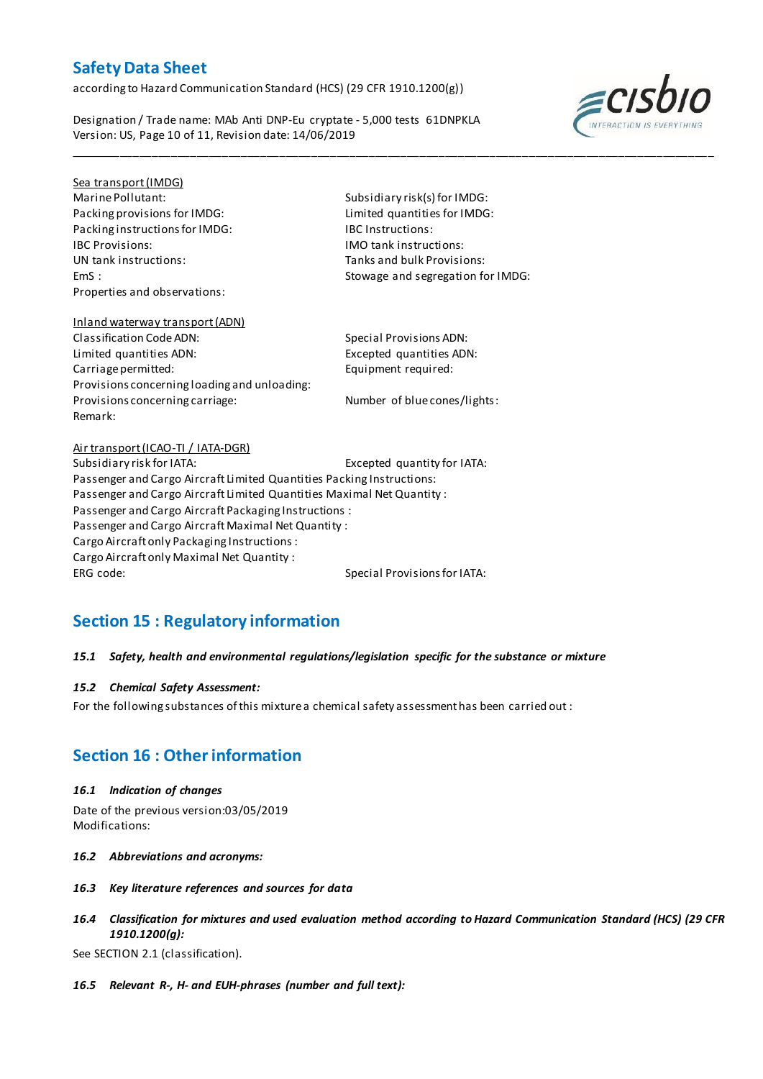according to Hazard Communication Standard (HCS) (29 CFR 1910.1200(g))

Designation / Trade name: MAb Anti DNP-Eu cryptate - 5,000 tests 61DNPKLA Version: US, Page 10 of 11, Revision date: 14/06/2019



## Sea transport (IMDG)

Packing provisions for IMDG: Limited quantities for IMDG: Packing instructions for IMDG: IBC Instructions: IBC Provisions: IMO tank instructions: Properties and observations:

Marine Pollutant: Subsidiary risk(s) for IMDG: Tanks and bulk Provisions: EmS : Stowage and segregation for IMDG:

\_\_\_\_\_\_\_\_\_\_\_\_\_\_\_\_\_\_\_\_\_\_\_\_\_\_\_\_\_\_\_\_\_\_\_\_\_\_\_\_\_\_\_\_\_\_\_\_\_\_\_\_\_\_\_\_\_\_\_\_\_\_\_\_\_\_\_\_\_\_\_\_\_\_\_\_\_\_\_\_\_\_\_\_\_\_\_\_\_\_\_\_\_\_\_\_\_\_\_\_\_

## Inland waterway transport (ADN) Classification Code ADN: Special Provisions ADN: Limited quantities ADN: Excepted quantities ADN: Carriage permitted: Equipment required: Provisions concerning loading and unloading: Provisions concerning carriage: Number of blue cones/lights: Remark:

## Air transport (ICAO-TI / IATA-DGR) Subsidiary risk for IATA: Excepted quantity for IATA: Passenger and Cargo Aircraft Limited Quantities Packing Instructions: Passenger and Cargo Aircraft Limited Quantities Maximal Net Quantity : Passenger and Cargo Aircraft Packaging Instructions : Passenger and Cargo Aircraft Maximal Net Quantity : Cargo Aircraft only Packaging Instructions : Cargo Aircraft only Maximal Net Quantity : ERG code: Special Provisions for IATA:

# **Section 15 : Regulatory information**

## *15.1 Safety, health and environmental regulations/legislation specific for the substance or mixture*

## *15.2 Chemical Safety Assessment:*

For the following substances of this mixture a chemical safety assessment has been carried out :

# **Section 16 : Other information**

### *16.1 Indication of changes*

Date of the previous version:03/05/2019 Modifications:

- *16.2 Abbreviations and acronyms:*
- *16.3 Key literature references and sources for data*
- *16.4 Classification for mixtures and used evaluation method according to Hazard Communication Standard (HCS) (29 CFR 1910.1200(g):*

See SECTION 2.1 (classification).

*16.5 Relevant R-, H- and EUH-phrases (number and full text):*